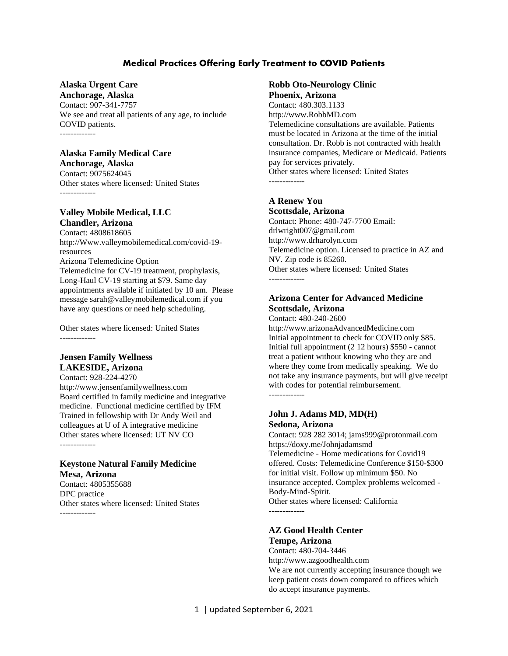### **Medical Practices Offering Early Treatment to COVID Patients**

### **Alaska Urgent Care**

**Anchorage, Alaska** Contact: 907-341-7757 We see and treat all patients of any age, to include COVID patients. -------------

#### **Alaska Family Medical Care**

**Anchorage, Alaska** Contact: 9075624045 Other states where licensed: United States -------------

#### **Valley Mobile Medical, LLC Chandler, Arizona**

Contact: 4808618605 http://Www.valleymobilemedical.com/covid-19 resources Arizona Telemedicine Option Telemedicine for CV-19 treatment, prophylaxis, Long-Haul CV-19 starting at \$79. Same day appointments available if initiated by 10 am. Please message sarah@valleymobilemedical.com if you have any questions or need help scheduling.

Other states where licensed: United States -------------

#### **Jensen Family Wellness LAKESIDE, Arizona**

Contact: 928-224-4270 http://www.jensenfamilywellness.com Board certified in family medicine and integrative medicine. Functional medicine certified by IFM Trained in fellowship with Dr Andy Weil and colleagues at U of A integrative medicine Other states where licensed: UT NV CO -------------

#### **Keystone Natural Family Medicine Mesa, Arizona**

Contact: 4805355688 DPC practice Other states where licensed: United States -------------

#### **Robb Oto-Neurology Clinic Phoenix, Arizona**

Contact: 480.303.1133 http://www.RobbMD.com Telemedicine consultations are available. Patients must be located in Arizona at the time of the initial consultation. Dr. Robb is not contracted with health insurance companies, Medicare or Medicaid. Patients pay for services privately. Other states where licensed: United States -------------

#### **A Renew You Scottsdale, Arizona**

Contact: Phone: 480-747-7700 Email: drlwright007@gmail.com http://www.drharolyn.com Telemedicine option. Licensed to practice in AZ and NV. Zip code is 85260. Other states where licensed: United States -------------

### **Arizona Center for Advanced Medicine Scottsdale, Arizona**

Contact: 480-240-2600 http://www.arizonaAdvancedMedicine.com Initial appointment to check for COVID only \$85. Initial full appointment (2 12 hours) \$550 - cannot treat a patient without knowing who they are and where they come from medically speaking. We do not take any insurance payments, but will give receipt with codes for potential reimbursement. -------------

#### **John J. Adams MD, MD(H) Sedona, Arizona**

Contact: 928 282 3014; jams999@protonmail.com https://doxy.me/Johnjadamsmd Telemedicine - Home medications for Covid19 offered. Costs: Telemedicine Conference \$150-\$300 for initial visit. Follow up minimum \$50. No insurance accepted. Complex problems welcomed - Body-Mind-Spirit. Other states where licensed: California -------------

### **AZ Good Health Center Tempe, Arizona**

Contact: 480-704-3446 http://www.azgoodhealth.com We are not currently accepting insurance though we keep patient costs down compared to offices which do accept insurance payments.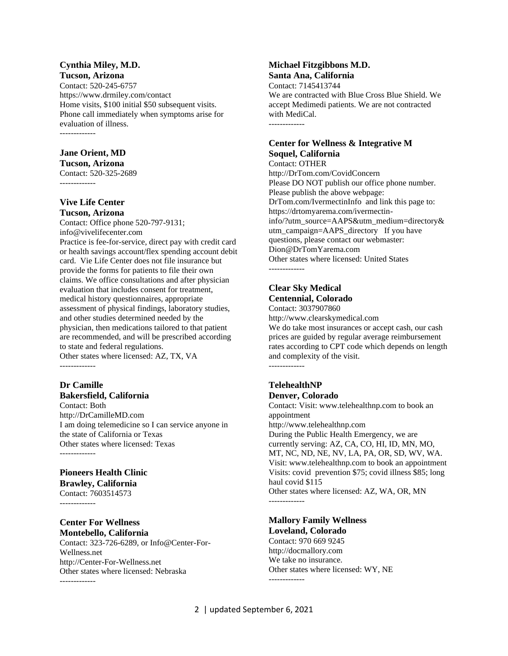#### **Cynthia Miley, M.D. Tucson, Arizona**

Contact: 520-245-6757 https://www.drmiley.com/contact Home visits, \$100 initial \$50 subsequent visits. Phone call immediately when symptoms arise for evaluation of illness. -------------

#### **Jane Orient, MD**

**Tucson, Arizona** Contact: 520-325-2689 -------------

#### **Vive Life Center Tucson, Arizona**

Contact: Office phone 520-797-9131; info@vivelifecenter.com Practice is fee-for-service, direct pay with credit card or health savings account/flex spending account debit card. Vie Life Center does not file insurance but provide the forms for patients to file their own claims. We office consultations and after physician evaluation that includes consent for treatment, medical history questionnaires, appropriate assessment of physical findings, laboratory studies, and other studies determined needed by the physician, then medications tailored to that patient are recommended, and will be prescribed according to state and federal regulations. Other states where licensed: AZ, TX, VA -------------

#### **Dr Camille Bakersfield, California**

Contact: Both http://DrCamilleMD.com I am doing telemedicine so I can service anyone in the state of California or Texas Other states where licensed: Texas -------------

#### **Pioneers Health Clinic Brawley, California** Contact: 7603514573

-------------

#### **Center For Wellness Montebello, California**

Contact: 323-726-6289, or Info@Center-For-Wellness.net http://Center-For-Wellness.net Other states where licensed: Nebraska

#### **Michael Fitzgibbons M.D. Santa Ana, California**

Contact: 7145413744 We are contracted with Blue Cross Blue Shield. We accept Medimedi patients. We are not contracted with MediCal. -------------

### **Center for Wellness & Integrative M Soquel, California**

Contact: OTHER http://DrTom.com/CovidConcern Please DO NOT publish our office phone number. Please publish the above webpage: DrTom.com/IvermectinInfo and link this page to: https://drtomyarema.com/ivermectininfo/?utm\_source=AAPS&utm\_medium=directory& utm\_campaign=AAPS\_directory If you have questions, please contact our webmaster: Dion@DrTomYarema.com Other states where licensed: United States -------------

### **Clear Sky Medical Centennial, Colorado**

Contact: 3037907860 http://www.clearskymedical.com We do take most insurances or accept cash, our cash prices are guided by regular average reimbursement rates according to CPT code which depends on length and complexity of the visit. -------------

#### **TelehealthNP Denver, Colorado**

Contact: Visit: www.telehealthnp.com to book an appointment http://www.telehealthnp.com During the Public Health Emergency, we are currently serving: AZ, CA, CO, HI, ID, MN, MO, MT, NC, ND, NE, NV, LA, PA, OR, SD, WV, WA. Visit: www.telehealthnp.com to book an appointment Visits: covid prevention \$75; covid illness \$85; long haul covid \$115 Other states where licensed: AZ, WA, OR, MN -------------

#### **Mallory Family Wellness Loveland, Colorado**

Contact: 970 669 9245 http://docmallory.com We take no insurance. Other states where licensed: WY, NE -------------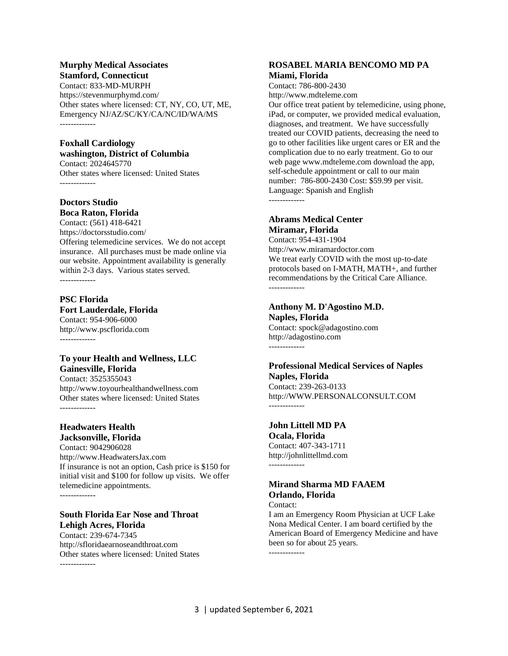#### **Murphy Medical Associates Stamford, Connecticut**

Contact: 833-MD-MURPH https://stevenmurphymd.com/ Other states where licensed: CT, NY, CO, UT, ME, Emergency NJ/AZ/SC/KY/CA/NC/ID/WA/MS -------------

#### **Foxhall Cardiology washington, District of Columbia**

Contact: 2024645770 Other states where licensed: United States

#### **Doctors Studio Boca Raton, Florida**

Contact: (561) 418-6421 https://doctorsstudio.com/ Offering telemedicine services. We do not accept insurance. All purchases must be made online via our website. Appointment availability is generally within 2-3 days. Various states served. -------------

### **PSC Florida**

#### **Fort Lauderdale, Florida**

Contact: 954-906-6000 http://www.pscflorida.com -------------

#### **To your Health and Wellness, LLC Gainesville, Florida**

Contact: 3525355043 http://www.toyourhealthandwellness.com Other states where licensed: United States -------------

# **Headwaters Health**

**Jacksonville, Florida** Contact: 9042906028 http://www.HeadwatersJax.com If insurance is not an option, Cash price is \$150 for initial visit and \$100 for follow up visits. We offer telemedicine appointments.

-------------

### **South Florida Ear Nose and Throat Lehigh Acres, Florida**

Contact: 239-674-7345 http://sfloridaearnoseandthroat.com Other states where licensed: United States -------------

#### **ROSABEL MARIA BENCOMO MD PA Miami, Florida**

Contact: 786-800-2430 http://www.mdteleme.com

Our office treat patient by telemedicine, using phone, iPad, or computer, we provided medical evaluation, diagnoses, and treatment. We have successfully treated our COVID patients, decreasing the need to go to other facilities like urgent cares or ER and the complication due to no early treatment. Go to our web page www.mdteleme.com download the app, self-schedule appointment or call to our main number: 786-800-2430 Cost: \$59.99 per visit. Language: Spanish and English

-------------

### **Abrams Medical Center Miramar, Florida**

Contact: 954-431-1904 http://www.miramardoctor.com We treat early COVID with the most up-to-date protocols based on I-MATH, MATH+, and further recommendations by the Critical Care Alliance. -------------

#### **Anthony M. D'Agostino M.D. Naples, Florida**

Contact: spock@adagostino.com http://adagostino.com -------------

### **Professional Medical Services of Naples Naples, Florida**

Contact: 239-263-0133 http://WWW.PERSONALCONSULT.COM -------------

### **John Littell MD PA**

**Ocala, Florida** Contact: 407-343-1711 http://johnlittellmd.com -------------

### **Mirand Sharma MD FAAEM Orlando, Florida**

Contact:

I am an Emergency Room Physician at UCF Lake Nona Medical Center. I am board certified by the American Board of Emergency Medicine and have been so for about 25 years.

-------------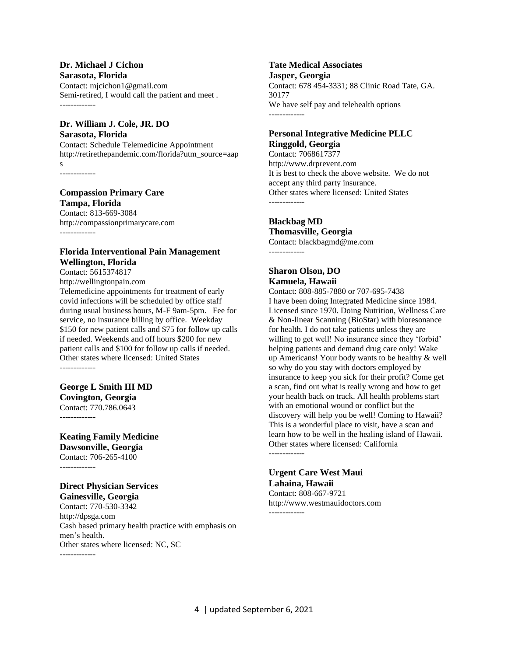#### **Dr. Michael J Cichon Sarasota, Florida**

Contact: mjcichon1@gmail.com Semi-retired, I would call the patient and meet . -------------

#### **Dr. William J. Cole, JR. DO Sarasota, Florida**

Contact: Schedule Telemedicine Appointment http://retirethepandemic.com/florida?utm\_source=aap

s -------------

### **Compassion Primary Care Tampa, Florida**

Contact: 813-669-3084 http://compassionprimarycare.com -------------

### **Florida Interventional Pain Management Wellington, Florida**

Contact: 5615374817 http://wellingtonpain.com Telemedicine appointments for treatment of early covid infections will be scheduled by office staff during usual business hours, M-F 9am-5pm. Fee for service, no insurance billing by office. Weekday \$150 for new patient calls and \$75 for follow up calls if needed. Weekends and off hours \$200 for new patient calls and \$100 for follow up calls if needed. Other states where licensed: United States -------------

# **George L Smith III MD**

**Covington, Georgia** Contact: 770.786.0643

-------------

### **Keating Family Medicine Dawsonville, Georgia** Contact: 706-265-4100

-------------

### **Direct Physician Services Gainesville, Georgia**

Contact: 770-530-3342 http://dpsga.com Cash based primary health practice with emphasis on men's health. Other states where licensed: NC, SC -------------

# **Tate Medical Associates**

**Jasper, Georgia** Contact: 678 454-3331; 88 Clinic Road Tate, GA. 30177 We have self pay and telehealth options -------------

#### **Personal Integrative Medicine PLLC Ringgold, Georgia**

Contact: 7068617377 http://www.drprevent.com It is best to check the above website. We do not accept any third party insurance. Other states where licensed: United States -------------

## **Blackbag MD**

**Thomasville, Georgia** Contact: blackbagmd@me.com -------------

### **Sharon Olson, DO Kamuela, Hawaii**

Contact: 808-885-7880 or 707-695-7438 I have been doing Integrated Medicine since 1984. Licensed since 1970. Doing Nutrition, Wellness Care & Non-linear Scanning (BioStar) with bioresonance for health. I do not take patients unless they are willing to get well! No insurance since they 'forbid' helping patients and demand drug care only! Wake up Americans! Your body wants to be healthy & well so why do you stay with doctors employed by insurance to keep you sick for their profit? Come get a scan, find out what is really wrong and how to get your health back on track. All health problems start with an emotional wound or conflict but the discovery will help you be well! Coming to Hawaii? This is a wonderful place to visit, have a scan and learn how to be well in the healing island of Hawaii. Other states where licensed: California -------------

## **Urgent Care West Maui Lahaina, Hawaii**

Contact: 808-667-9721 http://www.westmauidoctors.com -------------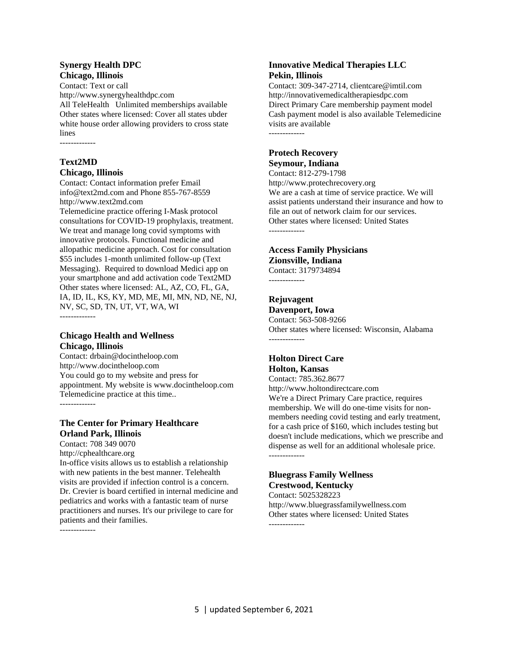#### **Synergy Health DPC Chicago, Illinois**

Contact: Text or call http://www.synergyhealthdpc.com All TeleHealth Unlimited memberships available Other states where licensed: Cover all states ubder white house order allowing providers to cross state lines

-------------

### **Text2MD Chicago, Illinois**

Contact: Contact information prefer Email info@text2md.com and Phone 855-767-8559 http://www.text2md.com

Telemedicine practice offering I-Mask protocol consultations for COVID-19 prophylaxis, treatment. We treat and manage long covid symptoms with innovative protocols. Functional medicine and allopathic medicine approach. Cost for consultation \$55 includes 1-month unlimited follow-up (Text Messaging). Required to download Medici app on your smartphone and add activation code Text2MD Other states where licensed: AL, AZ, CO, FL, GA, IA, ID, IL, KS, KY, MD, ME, MI, MN, ND, NE, NJ, NV, SC, SD, TN, UT, VT, WA, WI -------------

### **Chicago Health and Wellness Chicago, Illinois**

Contact: drbain@docintheloop.com http://www.docintheloop.com You could go to my website and press for appointment. My website is www.docintheloop.com Telemedicine practice at this time.. -------------

### **The Center for Primary Healthcare Orland Park, Illinois**

Contact: 708 349 0070 http://cphealthcare.org In-office visits allows us to establish a relationship with new patients in the best manner. Telehealth visits are provided if infection control is a concern. Dr. Crevier is board certified in internal medicine and pediatrics and works with a fantastic team of nurse practitioners and nurses. It's our privilege to care for patients and their families.

-------------

#### **Innovative Medical Therapies LLC Pekin, Illinois**

Contact: 309-347-2714, clientcare@imtil.com http://innovativemedicaltherapiesdpc.com Direct Primary Care membership payment model Cash payment model is also available Telemedicine visits are available -------------

#### **Protech Recovery Seymour, Indiana**

Contact: 812-279-1798 http://www.protechrecovery.org We are a cash at time of service practice. We will assist patients understand their insurance and how to file an out of network claim for our services. Other states where licensed: United States -------------

### **Access Family Physicians Zionsville, Indiana**

Contact: 3179734894 -------------

# **Rejuvagent**

**Davenport, Iowa** Contact: 563-508-9266 Other states where licensed: Wisconsin, Alabama -------------

### **Holton Direct Care Holton, Kansas**

Contact: 785.362.8677 http://www.holtondirectcare.com We're a Direct Primary Care practice, requires membership. We will do one-time visits for nonmembers needing covid testing and early treatment, for a cash price of \$160, which includes testing but doesn't include medications, which we prescribe and dispense as well for an additional wholesale price. -------------

### **Bluegrass Family Wellness Crestwood, Kentucky**

Contact: 5025328223 http://www.bluegrassfamilywellness.com Other states where licensed: United States -------------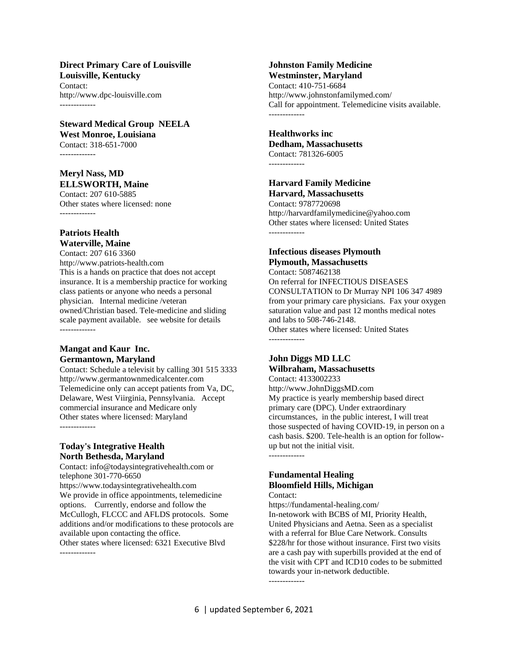#### **Direct Primary Care of Louisville Louisville, Kentucky**

Contact: http://www.dpc-louisville.com -------------

## **Steward Medical Group NEELA**

**West Monroe, Louisiana** Contact: 318-651-7000 -------------

### **Meryl Nass, MD ELLSWORTH, Maine**

Contact: 207 610-5885 Other states where licensed: none -------------

#### **Patriots Health Waterville, Maine**

Contact: 207 616 3360 http://www.patriots-health.com This is a hands on practice that does not accept insurance. It is a membership practice for working class patients or anyone who needs a personal physician. Internal medicine /veteran owned/Christian based. Tele-medicine and sliding scale payment available. see website for details -------------

#### **Mangat and Kaur Inc. Germantown, Maryland**

Contact: Schedule a televisit by calling 301 515 3333 http://www.germantownmedicalcenter.com Telemedicine only can accept patients from Va, DC, Delaware, West Viirginia, Pennsylvania. Accept commercial insurance and Medicare only Other states where licensed: Maryland -------------

### **Today's Integrative Health North Bethesda, Maryland**

Contact: info@todaysintegrativehealth.com or telephone 301-770-6650 https://www.todaysintegrativehealth.com We provide in office appointments, telemedicine options. Currently, endorse and follow the McCullogh, FLCCC and AFLDS protocols. Some additions and/or modifications to these protocols are available upon contacting the office. Other states where licensed: 6321 Executive Blvd -------------

#### **Johnston Family Medicine Westminster, Maryland**

Contact: 410-751-6684 http://www.johnstonfamilymed.com/ Call for appointment. Telemedicine visits available. -------------

#### **Healthworks inc Dedham, Massachusetts** Contact: 781326-6005

-------------

# **Harvard Family Medicine**

**Harvard, Massachusetts** Contact: 9787720698 http://harvardfamilymedicine@yahoo.com Other states where licensed: United States -------------

### **Infectious diseases Plymouth Plymouth, Massachusetts**

Contact: 5087462138 On referral for INFECTIOUS DISEASES CONSULTATION to Dr Murray NPI 106 347 4989 from your primary care physicians. Fax your oxygen saturation value and past 12 months medical notes and labs to 508-746-2148. Other states where licensed: United States -------------

### **John Diggs MD LLC Wilbraham, Massachusetts**

Contact: 4133002233 http://www.JohnDiggsMD.com My practice is yearly membership based direct primary care (DPC). Under extraordinary circumstances, in the public interest, I will treat those suspected of having COVID-19, in person on a cash basis. \$200. Tele-health is an option for followup but not the initial visit. -------------

### **Fundamental Healing Bloomfield Hills, Michigan**

#### Contact:

https://fundamental-healing.com/ In-netowork with BCBS of MI, Priority Health, United Physicians and Aetna. Seen as a specialist with a referral for Blue Care Network. Consults \$228/hr for those without insurance. First two visits are a cash pay with superbills provided at the end of the visit with CPT and ICD10 codes to be submitted towards your in-network deductible. -------------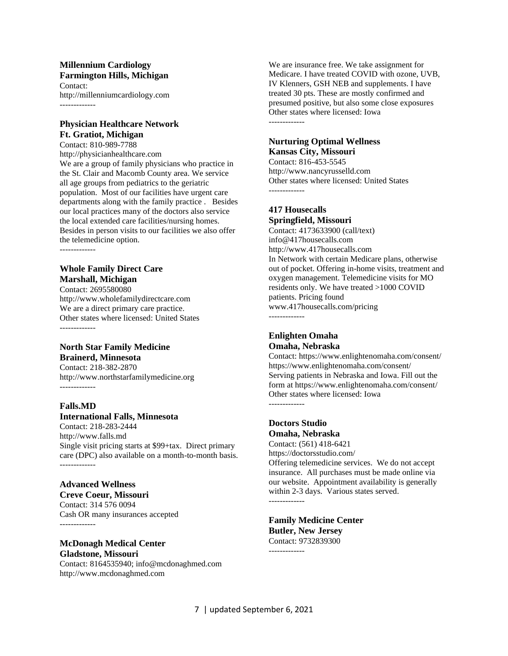#### **Millennium Cardiology Farmington Hills, Michigan** Contact:

http://millenniumcardiology.com -------------

#### **Physician Healthcare Network Ft. Gratiot, Michigan**

Contact: 810-989-7788 http://physicianhealthcare.com We are a group of family physicians who practice in the St. Clair and Macomb County area. We service all age groups from pediatrics to the geriatric population. Most of our facilities have urgent care departments along with the family practice . Besides our local practices many of the doctors also service the local extended care facilities/nursing homes. Besides in person visits to our facilities we also offer the telemedicine option.

-------------

#### **Whole Family Direct Care Marshall, Michigan**

Contact: 2695580080 http://www.wholefamilydirectcare.com We are a direct primary care practice. Other states where licensed: United States -------------

#### **North Star Family Medicine Brainerd, Minnesota**

Contact: 218-382-2870 http://www.northstarfamilymedicine.org -------------

## **Falls.MD**

# **International Falls, Minnesota**

Contact: 218-283-2444 http://www.falls.md Single visit pricing starts at \$99+tax. Direct primary care (DPC) also available on a month-to-month basis. -------------

### **Advanced Wellness**

**Creve Coeur, Missouri** Contact: 314 576 0094 Cash OR many insurances accepted -------------

#### **McDonagh Medical Center Gladstone, Missouri**

Contact: 8164535940; info@mcdonaghmed.com http://www.mcdonaghmed.com

We are insurance free. We take assignment for Medicare. I have treated COVID with ozone, UVB, IV Klenners, GSH NEB and supplements. I have treated 30 pts. These are mostly confirmed and presumed positive, but also some close exposures Other states where licensed: Iowa -------------

### **Nurturing Optimal Wellness Kansas City, Missouri**

Contact: 816-453-5545 http://www.nancyrusselld.com Other states where licensed: United States -------------

### **417 Housecalls Springfield, Missouri**

Contact: 4173633900 (call/text) info@417housecalls.com http://www.417housecalls.com In Network with certain Medicare plans, otherwise out of pocket. Offering in-home visits, treatment and oxygen management. Telemedicine visits for MO residents only. We have treated >1000 COVID patients. Pricing found www.417housecalls.com/pricing -------------

### **Enlighten Omaha Omaha, Nebraska**

Contact: https://www.enlightenomaha.com/consent/ https://www.enlightenomaha.com/consent/ Serving patients in Nebraska and Iowa. Fill out the form at https://www.enlightenomaha.com/consent/ Other states where licensed: Iowa -------------

#### **Doctors Studio Omaha, Nebraska**

Contact: (561) 418-6421 https://doctorsstudio.com/ Offering telemedicine services. We do not accept insurance. All purchases must be made online via our website. Appointment availability is generally within 2-3 days. Various states served. -------------

#### **Family Medicine Center Butler, New Jersey** Contact: 9732839300 -------------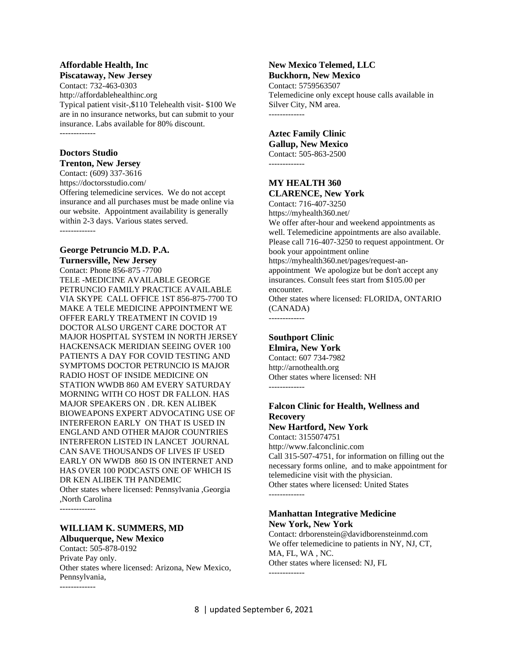#### **Affordable Health, Inc Piscataway, New Jersey**

Contact: 732-463-0303 http://affordablehealthinc.org Typical patient visit-,\$110 Telehealth visit- \$100 We are in no insurance networks, but can submit to your insurance. Labs available for 80% discount. -------------

### **Doctors Studio**

**Trenton, New Jersey**

Contact: (609) 337-3616 https://doctorsstudio.com/ Offering telemedicine services. We do not accept insurance and all purchases must be made online via our website. Appointment availability is generally within 2-3 days. Various states served. -------------

#### **George Petruncio M.D. P.A. Turnersville, New Jersey**

Contact: Phone 856-875 -7700 TELE -MEDICINE AVAILABLE GEORGE PETRUNCIO FAMILY PRACTICE AVAILABLE VIA SKYPE CALL OFFICE 1ST 856-875-7700 TO MAKE A TELE MEDICINE APPOINTMENT WE OFFER EARLY TREATMENT IN COVID 19 DOCTOR ALSO URGENT CARE DOCTOR AT MAJOR HOSPITAL SYSTEM IN NORTH JERSEY HACKENSACK MERIDIAN SEEING OVER 100 PATIENTS A DAY FOR COVID TESTING AND SYMPTOMS DOCTOR PETRUNCIO IS MAJOR RADIO HOST OF INSIDE MEDICINE ON STATION WWDB 860 AM EVERY SATURDAY MORNING WITH CO HOST DR FALLON. HAS MAJOR SPEAKERS ON . DR. KEN ALIBEK BIOWEAPONS EXPERT ADVOCATING USE OF INTERFERON EARLY ON THAT IS USED IN ENGLAND AND OTHER MAJOR COUNTRIES INTERFERON LISTED IN LANCET JOURNAL CAN SAVE THOUSANDS OF LIVES IF USED EARLY ON WWDB 860 IS ON INTERNET AND HAS OVER 100 PODCASTS ONE OF WHICH IS DR KEN ALIBEK TH PANDEMIC Other states where licensed: Pennsylvania ,Georgia ,North Carolina

-------------

-------------

### **WILLIAM K. SUMMERS, MD Albuquerque, New Mexico**

Contact: 505-878-0192 Private Pay only. Other states where licensed: Arizona, New Mexico, Pennsylvania,

## **New Mexico Telemed, LLC**

**Buckhorn, New Mexico** Contact: 5759563507 Telemedicine only except house calls available in Silver City, NM area. -------------

### **Aztec Family Clinic Gallup, New Mexico**

Contact: 505-863-2500 -------------

### **MY HEALTH 360 CLARENCE, New York**

Contact: 716-407-3250 https://myhealth360.net/ We offer after-hour and weekend appointments as well. Telemedicine appointments are also available. Please call 716-407-3250 to request appointment. Or book your appointment online https://myhealth360.net/pages/request-anappointment We apologize but be don't accept any insurances. Consult fees start from \$105.00 per encounter. Other states where licensed: FLORIDA, ONTARIO (CANADA) -------------

### **Southport Clinic**

**Elmira, New York** Contact: 607 734-7982 http://arnothealth.org Other states where licensed: NH -------------

### **Falcon Clinic for Health, Wellness and Recovery**

**New Hartford, New York**

Contact: 3155074751 http://www.falconclinic.com Call 315-507-4751, for information on filling out the necessary forms online, and to make appointment for telemedicine visit with the physician. Other states where licensed: United States -------------

#### **Manhattan Integrative Medicine New York, New York**

Contact: drborenstein@davidborensteinmd.com We offer telemedicine to patients in NY, NJ, CT, MA, FL, WA , NC. Other states where licensed: NJ, FL -------------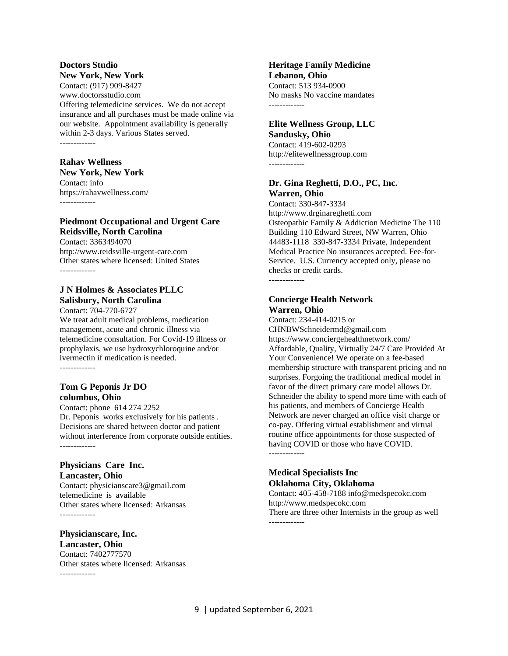#### **Doctors Studio New York, New York**

Contact: (917) 909-8427 www.doctorsstudio.com Offering telemedicine services. We do not accept insurance and all purchases must be made online via our website. Appointment availability is generally within 2-3 days. Various States served. -------------

**Rahav Wellness**

### **New York, New York**

Contact: info https://rahavwellness.com/ -------------

### **Piedmont Occupational and Urgent Care Reidsville, North Carolina**

Contact: 3363494070 http://www.reidsville-urgent-care.com Other states where licensed: United States

### **J N Holmes & Associates PLLC Salisbury, North Carolina**

Contact: 704-770-6727 We treat adult medical problems, medication management, acute and chronic illness via telemedicine consultation. For Covid-19 illness or prophylaxis, we use hydroxychloroquine and/or ivermectin if medication is needed. -------------

### **Tom G Peponis Jr DO columbus, Ohio**

Contact: phone 614 274 2252 Dr. Peponis works exclusively for his patients . Decisions are shared between doctor and patient without interference from corporate outside entities. -------------

### **Physicians Care Inc. Lancaster, Ohio**

Contact: physicianscare3@gmail.com telemedicine is available Other states where licensed: Arkansas -------------

# **Physicianscare, Inc.**

**Lancaster, Ohio** Contact: 7402777570 Other states where licensed: Arkansas -------------

**Heritage Family Medicine Lebanon, Ohio** Contact: 513 934-0900 No masks No vaccine mandates -------------

### **Elite Wellness Group, LLC Sandusky, Ohio**

Contact: 419-602-0293 http://elitewellnessgroup.com -------------

### **Dr. Gina Reghetti, D.O., PC, Inc. Warren, Ohio**

Contact: 330-847-3334 http://www.drginareghetti.com Osteopathic Family & Addiction Medicine The 110 Building 110 Edward Street, NW Warren, Ohio 44483-1118 330-847-3334 Private, Independent Medical Practice No insurances accepted. Fee-for-Service. U.S. Currency accepted only, please no checks or credit cards. -------------

### **Concierge Health Network Warren, Ohio**

Contact: 234-414-0215 or CHNBWSchneidermd@gmail.com https://www.conciergehealthnetwork.com/ Affordable, Quality, Virtually 24/7 Care Provided At Your Convenience! We operate on a fee-based membership structure with transparent pricing and no surprises. Forgoing the traditional medical model in favor of the direct primary care model allows Dr. Schneider the ability to spend more time with each of his patients, and members of Concierge Health Network are never charged an office visit charge or co-pay. Offering virtual establishment and virtual routine office appointments for those suspected of having COVID or those who have COVID. -------------

### **Medical Specialists Inc Oklahoma City, Oklahoma**

Contact: 405-458-7188 info@medspecokc.com http://www.medspecokc.com There are three other Internists in the group as well -------------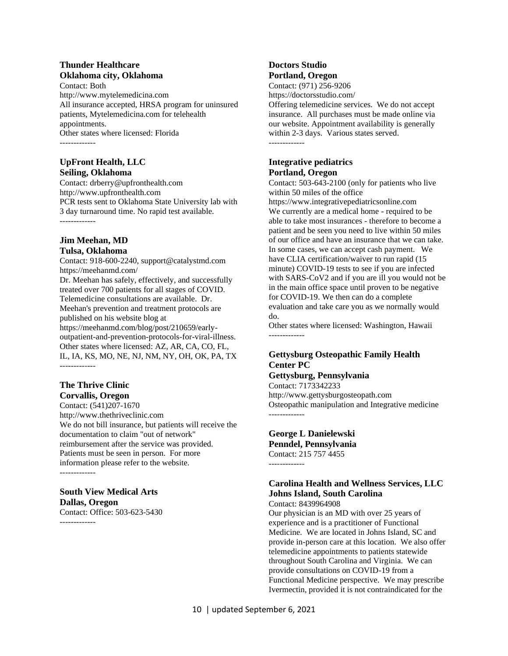#### **Thunder Healthcare Oklahoma city, Oklahoma**

Contact: Both http://www.mytelemedicina.com All insurance accepted, HRSA program for uninsured patients, Mytelemedicina.com for telehealth appointments. Other states where licensed: Florida -------------

**UpFront Health, LLC Seiling, Oklahoma**

Contact: drberry@upfronthealth.com http://www.upfronthealth.com PCR tests sent to Oklahoma State University lab with 3 day turnaround time. No rapid test available. -------------

#### **Jim Meehan, MD Tulsa, Oklahoma**

Contact: 918-600-2240, support@catalystmd.com https://meehanmd.com/

Dr. Meehan has safely, effectively, and successfully treated over 700 patients for all stages of COVID. Telemedicine consultations are available. Dr. Meehan's prevention and treatment protocols are published on his website blog at https://meehanmd.com/blog/post/210659/earlyoutpatient-and-prevention-protocols-for-viral-illness. Other states where licensed: AZ, AR, CA, CO, FL, IL, IA, KS, MO, NE, NJ, NM, NY, OH, OK, PA, TX -------------

### **The Thrive Clinic Corvallis, Oregon**

Contact: (541)207-1670 http://www.thethriveclinic.com We do not bill insurance, but patients will receive the documentation to claim "out of network" reimbursement after the service was provided. Patients must be seen in person. For more information please refer to the website. -------------

### **South View Medical Arts Dallas, Oregon** Contact: Office: 503-623-5430

-------------

### **Doctors Studio Portland, Oregon**

Contact: (971) 256-9206 https://doctorsstudio.com/

Offering telemedicine services. We do not accept insurance. All purchases must be made online via our website. Appointment availability is generally within 2-3 days. Various states served. -------------

#### **Integrative pediatrics Portland, Oregon**

Contact: 503-643-2100 (only for patients who live within 50 miles of the office

https://www.integrativepediatricsonline.com We currently are a medical home - required to be able to take most insurances - therefore to become a patient and be seen you need to live within 50 miles of our office and have an insurance that we can take. In some cases, we can accept cash payment. We have CLIA certification/waiver to run rapid (15 minute) COVID-19 tests to see if you are infected with SARS-CoV2 and if you are ill you would not be in the main office space until proven to be negative for COVID-19. We then can do a complete evaluation and take care you as we normally would do.

Other states where licensed: Washington, Hawaii -------------

### **Gettysburg Osteopathic Family Health Center PC**

### **Gettysburg, Pennsylvania**

Contact: 7173342233 http://www.gettysburgosteopath.com Osteopathic manipulation and Integrative medicine -------------

#### **George L Danielewski Penndel, Pennsylvania** Contact: 215 757 4455 -------------

### **Carolina Health and Wellness Services, LLC Johns Island, South Carolina**

Contact: 8439964908

Our physician is an MD with over 25 years of experience and is a practitioner of Functional Medicine. We are located in Johns Island, SC and provide in-person care at this location. We also offer telemedicine appointments to patients statewide throughout South Carolina and Virginia. We can provide consultations on COVID-19 from a Functional Medicine perspective. We may prescribe Ivermectin, provided it is not contraindicated for the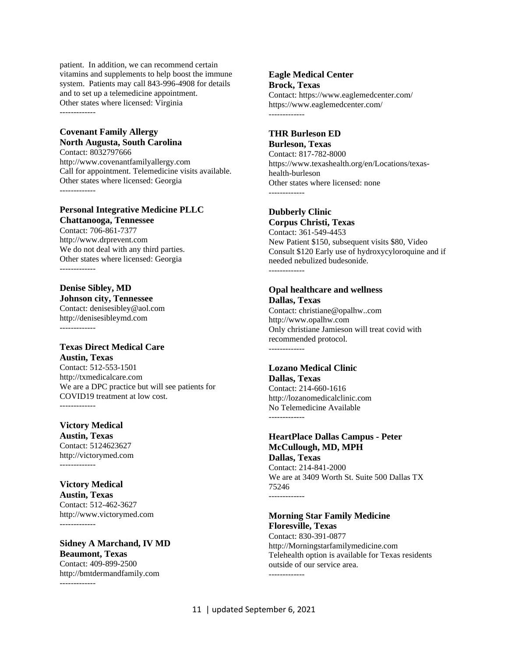patient. In addition, we can recommend certain vitamins and supplements to help boost the immune system. Patients may call 843-996-4908 for details and to set up a telemedicine appointment. Other states where licensed: Virginia -------------

#### **Covenant Family Allergy North Augusta, South Carolina**

Contact: 8032797666 http://www.covenantfamilyallergy.com Call for appointment. Telemedicine visits available. Other states where licensed: Georgia -------------

#### **Personal Integrative Medicine PLLC Chattanooga, Tennessee**

Contact: 706-861-7377 http://www.drprevent.com We do not deal with any third parties. Other states where licensed: Georgia -------------

#### **Denise Sibley, MD Johnson city, Tennessee** Contact: denisesibley@aol.com http://denisesibleymd.com

-------------

#### **Texas Direct Medical Care Austin, Texas**

Contact: 512-553-1501 http://txmedicalcare.com We are a DPC practice but will see patients for COVID19 treatment at low cost. -------------

**Victory Medical Austin, Texas** Contact: 5124623627 http://victorymed.com

-------------

**Victory Medical Austin, Texas** Contact: 512-462-3627 http://www.victorymed.com -------------

**Sidney A Marchand, IV MD Beaumont, Texas** Contact: 409-899-2500 http://bmtdermandfamily.com

-------------

#### **Eagle Medical Center Brock, Texas**

Contact: https://www.eaglemedcenter.com/ https://www.eaglemedcenter.com/ -------------

#### **THR Burleson ED**

**Burleson, Texas**

Contact: 817-782-8000 https://www.texashealth.org/en/Locations/texashealth-burleson Other states where licensed: none -------------

### **Dubberly Clinic**

**Corpus Christi, Texas** Contact: 361-549-4453 New Patient \$150, subsequent visits \$80, Video Consult \$120 Early use of hydroxycyloroquine and if needed nebulized budesonide. -------------

#### **Opal healthcare and wellness Dallas, Texas**

Contact: christiane@opalhw..com http://www.opalhw.com Only christiane Jamieson will treat covid with recommended protocol. -------------

### **Lozano Medical Clinic**

**Dallas, Texas** Contact: 214-660-1616 http://lozanomedicalclinic.com No Telemedicine Available -------------

#### **HeartPlace Dallas Campus - Peter McCullough, MD, MPH Dallas, Texas** Contact: 214-841-2000

We are at 3409 Worth St. Suite 500 Dallas TX 75246 -------------

#### **Morning Star Family Medicine Floresville, Texas**

Contact: 830-391-0877 http://Morningstarfamilymedicine.com Telehealth option is available for Texas residents outside of our service area. -------------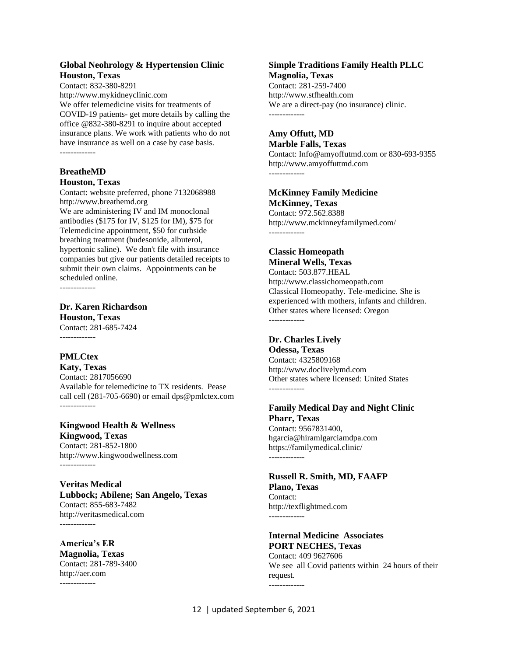#### **Global Neohrology & Hypertension Clinic Houston, Texas**

Contact: 832-380-8291 http://www.mykidneyclinic.com We offer telemedicine visits for treatments of COVID-19 patients- get more details by calling the office @832-380-8291 to inquire about accepted insurance plans. We work with patients who do not have insurance as well on a case by case basis. -------------

### **BreatheMD Houston, Texas**

Contact: website preferred, phone 7132068988 http://www.breathemd.org

We are administering IV and IM monoclonal antibodies (\$175 for IV, \$125 for IM), \$75 for Telemedicine appointment, \$50 for curbside breathing treatment (budesonide, albuterol, hypertonic saline). We don't file with insurance companies but give our patients detailed receipts to submit their own claims. Appointments can be scheduled online.

-------------

**Dr. Karen Richardson Houston, Texas** Contact: 281-685-7424 -------------

## **PMLCtex**

**Katy, Texas** Contact: 2817056690 Available for telemedicine to TX residents. Pease call cell (281-705-6690) or email dps@pmlctex.com -------------

**Kingwood Health & Wellness Kingwood, Texas** Contact: 281-852-1800 http://www.kingwoodwellness.com -------------

**Veritas Medical Lubbock; Abilene; San Angelo, Texas** Contact: 855-683-7482 http://veritasmedical.com -------------

**America's ER Magnolia, Texas** Contact: 281-789-3400 http://aer.com -------------

#### **Simple Traditions Family Health PLLC Magnolia, Texas** Contact: 281-259-7400

http://www.stfhealth.com We are a direct-pay (no insurance) clinic. -------------

# **Amy Offutt, MD**

**Marble Falls, Texas** Contact: Info@amyoffutmd.com or 830-693-9355 http://www.amyoffuttmd.com -------------

# **McKinney Family Medicine**

**McKinney, Texas** Contact: 972.562.8388 http://www.mckinneyfamilymed.com/ -------------

# **Classic Homeopath**

**Mineral Wells, Texas** Contact: 503.877.HEAL http://www.classichomeopath.com Classical Homeopathy. Tele-medicine. She is experienced with mothers, infants and children. Other states where licensed: Oregon -------------

### **Dr. Charles Lively**

-------------

**Odessa, Texas** Contact: 4325809168 http://www.doclivelymd.com Other states where licensed: United States -------------

#### **Family Medical Day and Night Clinic Pharr, Texas** Contact: 9567831400, hgarcia@hiramlgarciamdpa.com https://familymedical.clinic/

**Russell R. Smith, MD, FAAFP Plano, Texas** Contact: http://texflightmed.com -------------

#### **Internal Medicine Associates PORT NECHES, Texas**

Contact: 409 9627606 We see all Covid patients within 24 hours of their request. -------------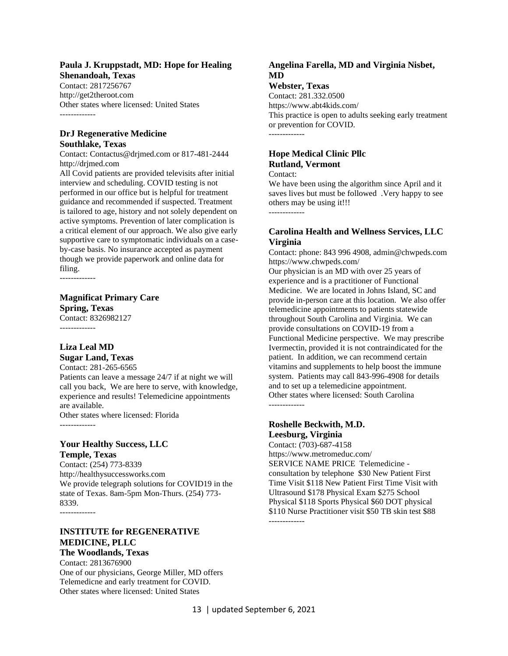#### **Paula J. Kruppstadt, MD: Hope for Healing Shenandoah, Texas**

Contact: 2817256767 http://get2theroot.com Other states where licensed: United States -------------

#### **DrJ Regenerative Medicine Southlake, Texas**

Contact: Contactus@drjmed.com or 817-481-2444 http://drjmed.com

All Covid patients are provided televisits after initial interview and scheduling. COVID testing is not performed in our office but is helpful for treatment guidance and recommended if suspected. Treatment is tailored to age, history and not solely dependent on active symptoms. Prevention of later complication is a critical element of our approach. We also give early supportive care to symptomatic individuals on a caseby-case basis. No insurance accepted as payment though we provide paperwork and online data for filing.

-------------

### **Magnificat Primary Care Spring, Texas**

Contact: 8326982127 -------------

### **Liza Leal MD Sugar Land, Texas**

Contact: 281-265-6565

Patients can leave a message 24/7 if at night we will call you back, We are here to serve, with knowledge, experience and results! Telemedicine appointments are available. Other states where licensed: Florida

-------------

### **Your Healthy Success, LLC Temple, Texas**

Contact: (254) 773-8339 http://healthysuccessworks.com We provide telegraph solutions for COVID19 in the state of Texas. 8am-5pm Mon-Thurs. (254) 773- 8339.

-------------

#### **INSTITUTE for REGENERATIVE MEDICINE, PLLC The Woodlands, Texas**

Contact: 2813676900 One of our physicians, George Miller, MD offers Telemedicne and early treatment for COVID. Other states where licensed: United States

### **Angelina Farella, MD and Virginia Nisbet, MD**

**Webster, Texas**

Contact: 281.332.0500 https://www.abt4kids.com/ This practice is open to adults seeking early treatment or prevention for COVID. -------------

## **Hope Medical Clinic Pllc Rutland, Vermont**

Contact:

We have been using the algorithm since April and it saves lives but must be followed .Very happy to see others may be using it!!! -------------

#### **Carolina Health and Wellness Services, LLC Virginia**

Contact: phone: 843 996 4908, admin@chwpeds.com https://www.chwpeds.com/

Our physician is an MD with over 25 years of experience and is a practitioner of Functional Medicine. We are located in Johns Island, SC and provide in-person care at this location. We also offer telemedicine appointments to patients statewide throughout South Carolina and Virginia. We can provide consultations on COVID-19 from a Functional Medicine perspective. We may prescribe Ivermectin, provided it is not contraindicated for the patient. In addition, we can recommend certain vitamins and supplements to help boost the immune system. Patients may call 843-996-4908 for details and to set up a telemedicine appointment. Other states where licensed: South Carolina -------------

# **Roshelle Beckwith, M.D.**

**Leesburg, Virginia** Contact: (703)-687-4158 https://www.metromeduc.com/ SERVICE NAME PRICE Telemedicine consultation by telephone \$30 New Patient First Time Visit \$118 New Patient First Time Visit with Ultrasound \$178 Physical Exam \$275 School Physical \$118 Sports Physical \$60 DOT physical \$110 Nurse Practitioner visit \$50 TB skin test \$88 -------------